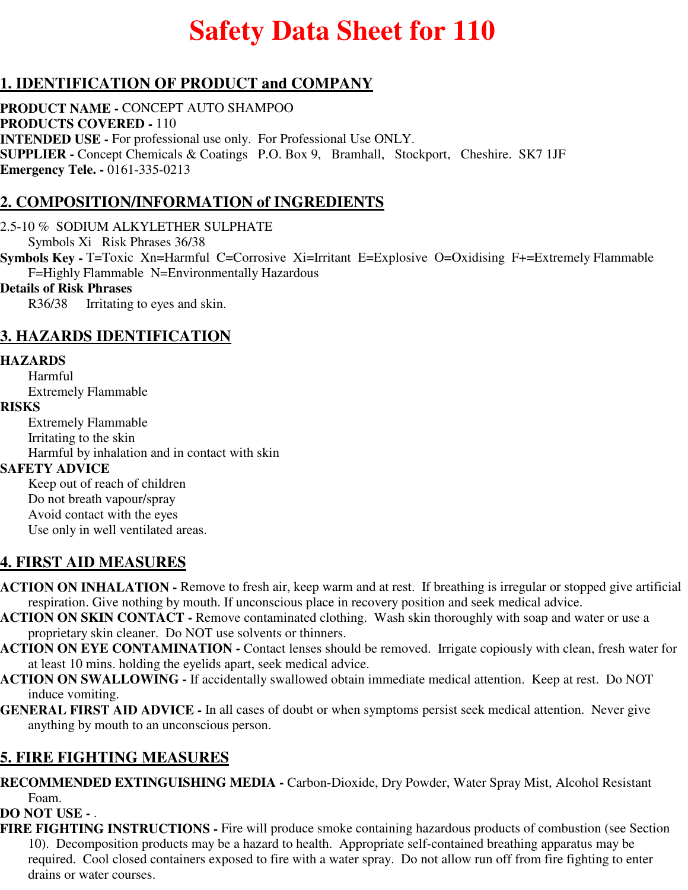# **Safety Data Sheet for 110**

# **1. IDENTIFICATION OF PRODUCT and COMPANY**

**PRODUCT NAME -** CONCEPT AUTO SHAMPOO **PRODUCTS COVERED -** 110 **INTENDED USE -** For professional use only. For Professional Use ONLY. **SUPPLIER -** Concept Chemicals & Coatings P.O. Box 9, Bramhall, Stockport, Cheshire. SK7 1JF **Emergency Tele. -** 0161-335-0213

# **2. COMPOSITION/INFORMATION of INGREDIENTS**

2.5-10 % SODIUM ALKYLETHER SULPHATE

Symbols Xi Risk Phrases 36/38

**Symbols Key -** T=Toxic Xn=Harmful C=Corrosive Xi=Irritant E=Explosive O=Oxidising F+=Extremely Flammable F=Highly Flammable N=Environmentally Hazardous

### **Details of Risk Phrases**

R36/38 Irritating to eyes and skin.

# **3. HAZARDS IDENTIFICATION**

#### **HAZARDS**

Harmful Extremely Flammable

#### **RISKS**

Extremely Flammable Irritating to the skin Harmful by inhalation and in contact with skin

### **SAFETY ADVICE**

Keep out of reach of children Do not breath vapour/spray Avoid contact with the eyes Use only in well ventilated areas.

### **4. FIRST AID MEASURES**

- **ACTION ON INHALATION** Remove to fresh air, keep warm and at rest. If breathing is irregular or stopped give artificial respiration. Give nothing by mouth. If unconscious place in recovery position and seek medical advice.
- **ACTION ON SKIN CONTACT** Remove contaminated clothing. Wash skin thoroughly with soap and water or use a proprietary skin cleaner. Do NOT use solvents or thinners.
- **ACTION ON EYE CONTAMINATION** Contact lenses should be removed. Irrigate copiously with clean, fresh water for at least 10 mins. holding the eyelids apart, seek medical advice.
- **ACTION ON SWALLOWING** If accidentally swallowed obtain immediate medical attention. Keep at rest. Do NOT induce vomiting.
- **GENERAL FIRST AID ADVICE** In all cases of doubt or when symptoms persist seek medical attention. Never give anything by mouth to an unconscious person.

# **5. FIRE FIGHTING MEASURES**

**RECOMMENDED EXTINGUISHING MEDIA -** Carbon-Dioxide, Dry Powder, Water Spray Mist, Alcohol Resistant Foam.

### **DO NOT USE -** .

**FIRE FIGHTING INSTRUCTIONS -** Fire will produce smoke containing hazardous products of combustion (see Section 10). Decomposition products may be a hazard to health. Appropriate self-contained breathing apparatus may be required. Cool closed containers exposed to fire with a water spray. Do not allow run off from fire fighting to enter drains or water courses.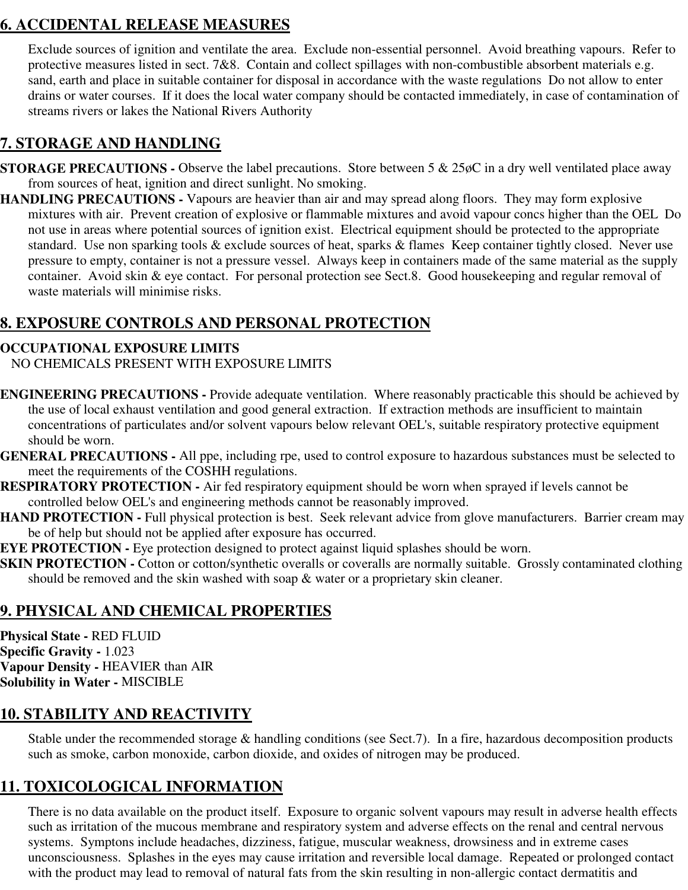# **6. ACCIDENTAL RELEASE MEASURES**

Exclude sources of ignition and ventilate the area. Exclude non-essential personnel. Avoid breathing vapours. Refer to protective measures listed in sect. 7&8. Contain and collect spillages with non-combustible absorbent materials e.g. sand, earth and place in suitable container for disposal in accordance with the waste regulations Do not allow to enter drains or water courses. If it does the local water company should be contacted immediately, in case of contamination of streams rivers or lakes the National Rivers Authority

# **7. STORAGE AND HANDLING**

- **STORAGE PRECAUTIONS -** Observe the label precautions. Store between 5 & 25 $\phi$ C in a dry well ventilated place away from sources of heat, ignition and direct sunlight. No smoking.
- **HANDLING PRECAUTIONS** Vapours are heavier than air and may spread along floors. They may form explosive mixtures with air. Prevent creation of explosive or flammable mixtures and avoid vapour concs higher than the OEL Do not use in areas where potential sources of ignition exist. Electrical equipment should be protected to the appropriate standard. Use non sparking tools & exclude sources of heat, sparks & flames Keep container tightly closed. Never use pressure to empty, container is not a pressure vessel. Always keep in containers made of the same material as the supply container. Avoid skin & eye contact. For personal protection see Sect.8. Good housekeeping and regular removal of waste materials will minimise risks.

# **8. EXPOSURE CONTROLS AND PERSONAL PROTECTION**

### **OCCUPATIONAL EXPOSURE LIMITS**

NO CHEMICALS PRESENT WITH EXPOSURE LIMITS

- **ENGINEERING PRECAUTIONS** Provide adequate ventilation. Where reasonably practicable this should be achieved by the use of local exhaust ventilation and good general extraction. If extraction methods are insufficient to maintain concentrations of particulates and/or solvent vapours below relevant OEL's, suitable respiratory protective equipment should be worn.
- **GENERAL PRECAUTIONS** All ppe, including rpe, used to control exposure to hazardous substances must be selected to meet the requirements of the COSHH regulations.
- **RESPIRATORY PROTECTION** Air fed respiratory equipment should be worn when sprayed if levels cannot be controlled below OEL's and engineering methods cannot be reasonably improved.
- **HAND PROTECTION Full physical protection is best. Seek relevant advice from glove manufacturers. Barrier cream may** be of help but should not be applied after exposure has occurred.
- **EYE PROTECTION -** Eye protection designed to protect against liquid splashes should be worn.
- **SKIN PROTECTION -** Cotton or cotton/synthetic overalls or coveralls are normally suitable. Grossly contaminated clothing should be removed and the skin washed with soap  $\&$  water or a proprietary skin cleaner.

# **9. PHYSICAL AND CHEMICAL PROPERTIES**

**Physical State -** RED FLUID **Specific Gravity -** 1.023 **Vapour Density -** HEAVIER than AIR **Solubility in Water -** MISCIBLE

# **10. STABILITY AND REACTIVITY**

Stable under the recommended storage & handling conditions (see Sect.7). In a fire, hazardous decomposition products such as smoke, carbon monoxide, carbon dioxide, and oxides of nitrogen may be produced.

# **11. TOXICOLOGICAL INFORMATION**

There is no data available on the product itself. Exposure to organic solvent vapours may result in adverse health effects such as irritation of the mucous membrane and respiratory system and adverse effects on the renal and central nervous systems. Symptons include headaches, dizziness, fatigue, muscular weakness, drowsiness and in extreme cases unconsciousness. Splashes in the eyes may cause irritation and reversible local damage. Repeated or prolonged contact with the product may lead to removal of natural fats from the skin resulting in non-allergic contact dermatitis and